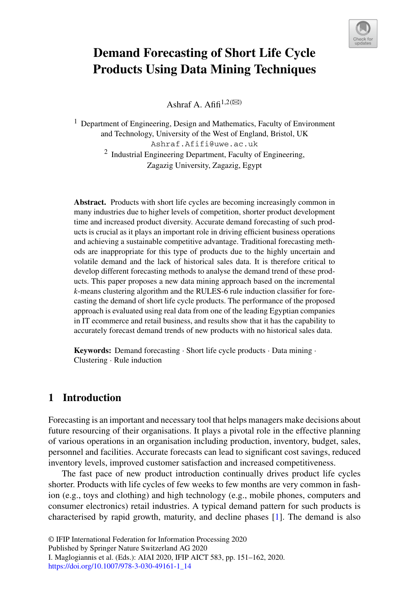

# **Demand Forecasting of Short Life Cycle Products Using Data Mining Techniques**

Ashraf A. Afifi<sup>1,2( $\boxtimes$ )</sup>

<sup>1</sup> Department of Engineering, Design and Mathematics, Faculty of Environment and Technology, University of the West of England, Bristol, UK Ashraf.Afifi@uwe.ac.uk <sup>2</sup> Industrial Engineering Department, Faculty of Engineering, Zagazig University, Zagazig, Egypt

**Abstract.** Products with short life cycles are becoming increasingly common in many industries due to higher levels of competition, shorter product development time and increased product diversity. Accurate demand forecasting of such products is crucial as it plays an important role in driving efficient business operations and achieving a sustainable competitive advantage. Traditional forecasting methods are inappropriate for this type of products due to the highly uncertain and volatile demand and the lack of historical sales data. It is therefore critical to develop different forecasting methods to analyse the demand trend of these products. This paper proposes a new data mining approach based on the incremental *k*-means clustering algorithm and the RULES-6 rule induction classifier for forecasting the demand of short life cycle products. The performance of the proposed approach is evaluated using real data from one of the leading Egyptian companies in IT ecommerce and retail business, and results show that it has the capability to accurately forecast demand trends of new products with no historical sales data.

**Keywords:** Demand forecasting · Short life cycle products · Data mining · Clustering · Rule induction

# **1 Introduction**

Forecasting is an important and necessary tool that helps managers make decisions about future resourcing of their organisations. It plays a pivotal role in the effective planning of various operations in an organisation including production, inventory, budget, sales, personnel and facilities. Accurate forecasts can lead to significant cost savings, reduced inventory levels, improved customer satisfaction and increased competitiveness.

The fast pace of new product introduction continually drives product life cycles shorter. Products with life cycles of few weeks to few months are very common in fashion (e.g., toys and clothing) and high technology (e.g., mobile phones, computers and consumer electronics) retail industries. A typical demand pattern for such products is characterised by rapid growth, maturity, and decline phases [\[1\]](#page-10-0). The demand is also

<sup>©</sup> IFIP International Federation for Information Processing 2020

Published by Springer Nature Switzerland AG 2020

I. Maglogiannis et al. (Eds.): AIAI 2020, IFIP AICT 583, pp. 151–162, 2020. [https://doi.org/10.1007/978-3-030-49161-1\\_14](https://doi.org/10.1007/978-3-030-49161-1_14)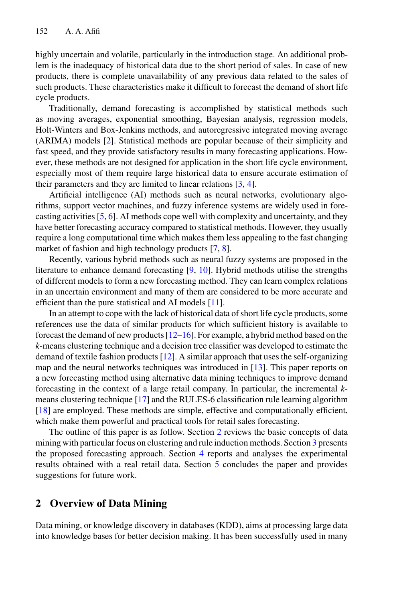highly uncertain and volatile, particularly in the introduction stage. An additional problem is the inadequacy of historical data due to the short period of sales. In case of new products, there is complete unavailability of any previous data related to the sales of such products. These characteristics make it difficult to forecast the demand of short life cycle products.

Traditionally, demand forecasting is accomplished by statistical methods such as moving averages, exponential smoothing, Bayesian analysis, regression models, Holt-Winters and Box-Jenkins methods, and autoregressive integrated moving average (ARIMA) models [\[2\]](#page-10-1). Statistical methods are popular because of their simplicity and fast speed, and they provide satisfactory results in many forecasting applications. However, these methods are not designed for application in the short life cycle environment, especially most of them require large historical data to ensure accurate estimation of their parameters and they are limited to linear relations [\[3,](#page-10-2) [4\]](#page-10-3).

Artificial intelligence (AI) methods such as neural networks, evolutionary algorithms, support vector machines, and fuzzy inference systems are widely used in forecasting activities [\[5,](#page-10-4) [6\]](#page-10-5). AI methods cope well with complexity and uncertainty, and they have better forecasting accuracy compared to statistical methods. However, they usually require a long computational time which makes them less appealing to the fast changing market of fashion and high technology products [\[7,](#page-10-6) [8\]](#page-10-7).

Recently, various hybrid methods such as neural fuzzy systems are proposed in the literature to enhance demand forecasting [\[9,](#page-10-8) [10\]](#page-10-9). Hybrid methods utilise the strengths of different models to form a new forecasting method. They can learn complex relations in an uncertain environment and many of them are considered to be more accurate and efficient than the pure statistical and AI models [\[11\]](#page-10-10).

In an attempt to cope with the lack of historical data of short life cycle products, some references use the data of similar products for which sufficient history is available to forecast the demand of new products [\[12–](#page-11-0)[16\]](#page-11-1). For example, a hybrid method based on the *k*-means clustering technique and a decision tree classifier was developed to estimate the demand of textile fashion products [\[12\]](#page-11-0). A similar approach that uses the self-organizing map and the neural networks techniques was introduced in [\[13\]](#page-11-2). This paper reports on a new forecasting method using alternative data mining techniques to improve demand forecasting in the context of a large retail company. In particular, the incremental *k*means clustering technique [\[17\]](#page-11-3) and the RULES-6 classification rule learning algorithm [\[18\]](#page-11-4) are employed. These methods are simple, effective and computationally efficient, which make them powerful and practical tools for retail sales forecasting.

The outline of this paper is as follow. Section [2](#page-1-0) reviews the basic concepts of data mining with particular focus on clustering and rule induction methods. Section [3](#page-4-0) presents the proposed forecasting approach. Section [4](#page-7-0) reports and analyses the experimental results obtained with a real retail data. Section [5](#page-9-0) concludes the paper and provides suggestions for future work.

### <span id="page-1-0"></span>**2 Overview of Data Mining**

Data mining, or knowledge discovery in databases (KDD), aims at processing large data into knowledge bases for better decision making. It has been successfully used in many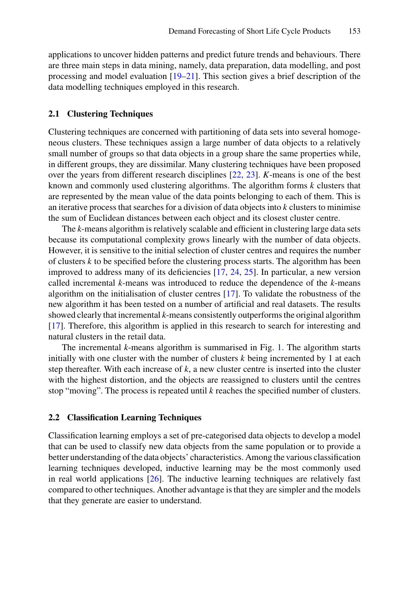applications to uncover hidden patterns and predict future trends and behaviours. There are three main steps in data mining, namely, data preparation, data modelling, and post processing and model evaluation  $[19-21]$  $[19-21]$ . This section gives a brief description of the data modelling techniques employed in this research.

#### **2.1 Clustering Techniques**

Clustering techniques are concerned with partitioning of data sets into several homogeneous clusters. These techniques assign a large number of data objects to a relatively small number of groups so that data objects in a group share the same properties while, in different groups, they are dissimilar. Many clustering techniques have been proposed over the years from different research disciplines [\[22,](#page-11-7) [23\]](#page-11-8). *K*-means is one of the best known and commonly used clustering algorithms. The algorithm forms *k* clusters that are represented by the mean value of the data points belonging to each of them. This is an iterative process that searches for a division of data objects into *k* clusters to minimise the sum of Euclidean distances between each object and its closest cluster centre.

The *k*-means algorithm is relatively scalable and efficient in clustering large data sets because its computational complexity grows linearly with the number of data objects. However, it is sensitive to the initial selection of cluster centres and requires the number of clusters *k* to be specified before the clustering process starts. The algorithm has been improved to address many of its deficiencies [\[17,](#page-11-3) [24,](#page-11-9) [25\]](#page-11-10). In particular, a new version called incremental *k*-means was introduced to reduce the dependence of the *k*-means algorithm on the initialisation of cluster centres [\[17\]](#page-11-3). To validate the robustness of the new algorithm it has been tested on a number of artificial and real datasets. The results showed clearly that incremental *k*-means consistently outperforms the original algorithm [\[17\]](#page-11-3). Therefore, this algorithm is applied in this research to search for interesting and natural clusters in the retail data.

The incremental *k*-means algorithm is summarised in Fig. [1.](#page-3-0) The algorithm starts initially with one cluster with the number of clusters *k* being incremented by 1 at each step thereafter. With each increase of *k*, a new cluster centre is inserted into the cluster with the highest distortion, and the objects are reassigned to clusters until the centres stop "moving". The process is repeated until *k* reaches the specified number of clusters.

#### **2.2 Classification Learning Techniques**

Classification learning employs a set of pre-categorised data objects to develop a model that can be used to classify new data objects from the same population or to provide a better understanding of the data objects' characteristics. Among the various classification learning techniques developed, inductive learning may be the most commonly used in real world applications  $[26]$ . The inductive learning techniques are relatively fast compared to other techniques. Another advantage is that they are simpler and the models that they generate are easier to understand.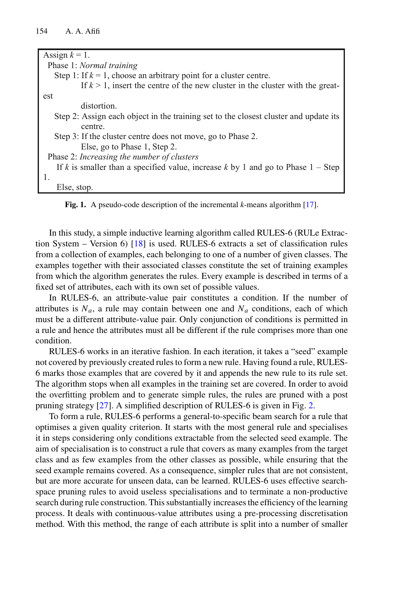| Assign $k = 1$ .                                                                     |
|--------------------------------------------------------------------------------------|
| Phase 1: <i>Normal training</i>                                                      |
| Step 1: If $k = 1$ , choose an arbitrary point for a cluster centre.                 |
| If $k > 1$ , insert the centre of the new cluster in the cluster with the great-     |
| est                                                                                  |
| distortion.                                                                          |
| Step 2: Assign each object in the training set to the closest cluster and update its |
| centre.                                                                              |
| Step 3: If the cluster centre does not move, go to Phase 2.                          |
| Else, go to Phase 1, Step 2.                                                         |
| Phase 2: Increasing the number of clusters                                           |
| If k is smaller than a specified value, increase k by 1 and go to Phase $1 -$ Step   |
|                                                                                      |
| Else, stop.                                                                          |

<span id="page-3-0"></span>**Fig. 1.** A pseudo-code description of the incremental *k*-means algorithm [\[17\]](#page-11-3).

In this study, a simple inductive learning algorithm called RULES-6 (RULe Extraction System – Version 6) [\[18\]](#page-11-4) is used. RULES-6 extracts a set of classification rules from a collection of examples, each belonging to one of a number of given classes. The examples together with their associated classes constitute the set of training examples from which the algorithm generates the rules. Every example is described in terms of a fixed set of attributes, each with its own set of possible values.

In RULES-6, an attribute-value pair constitutes a condition. If the number of attributes is  $N_a$ , a rule may contain between one and  $N_a$  conditions, each of which must be a different attribute-value pair. Only conjunction of conditions is permitted in a rule and hence the attributes must all be different if the rule comprises more than one condition.

RULES-6 works in an iterative fashion. In each iteration, it takes a "seed" example not covered by previously created rules to form a new rule. Having found a rule, RULES-6 marks those examples that are covered by it and appends the new rule to its rule set. The algorithm stops when all examples in the training set are covered. In order to avoid the overfitting problem and to generate simple rules, the rules are pruned with a post pruning strategy [\[27\]](#page-11-12). A simplified description of RULES-6 is given in Fig. [2.](#page-4-1)

To form a rule, RULES-6 performs a general-to-specific beam search for a rule that optimises a given quality criterion. It starts with the most general rule and specialises it in steps considering only conditions extractable from the selected seed example. The aim of specialisation is to construct a rule that covers as many examples from the target class and as few examples from the other classes as possible, while ensuring that the seed example remains covered. As a consequence, simpler rules that are not consistent, but are more accurate for unseen data, can be learned. RULES-6 uses effective searchspace pruning rules to avoid useless specialisations and to terminate a non-productive search during rule construction. This substantially increases the efficiency of the learning process. It deals with continuous-value attributes using a pre-processing discretisation method. With this method, the range of each attribute is split into a number of smaller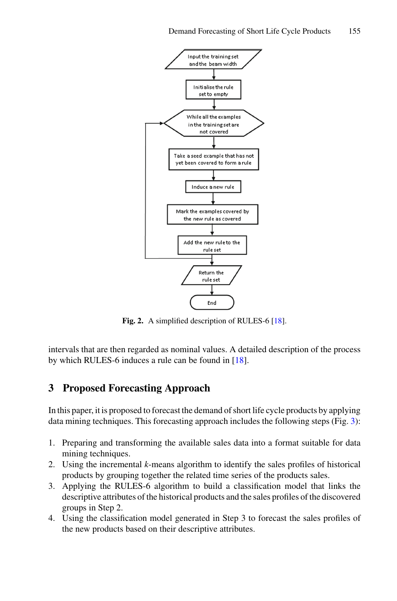

Fig. 2. A simplified description of RULES-6 [\[18\]](#page-11-4).

<span id="page-4-1"></span>intervals that are then regarded as nominal values. A detailed description of the process by which RULES-6 induces a rule can be found in [\[18\]](#page-11-4).

# <span id="page-4-0"></span>**3 Proposed Forecasting Approach**

In this paper, it is proposed to forecast the demand of short life cycle products by applying data mining techniques. This forecasting approach includes the following steps (Fig. [3\)](#page-5-0):

- 1. Preparing and transforming the available sales data into a format suitable for data mining techniques.
- 2. Using the incremental *k*-means algorithm to identify the sales profiles of historical products by grouping together the related time series of the products sales.
- 3. Applying the RULES-6 algorithm to build a classification model that links the descriptive attributes of the historical products and the sales profiles of the discovered groups in Step 2.
- 4. Using the classification model generated in Step 3 to forecast the sales profiles of the new products based on their descriptive attributes.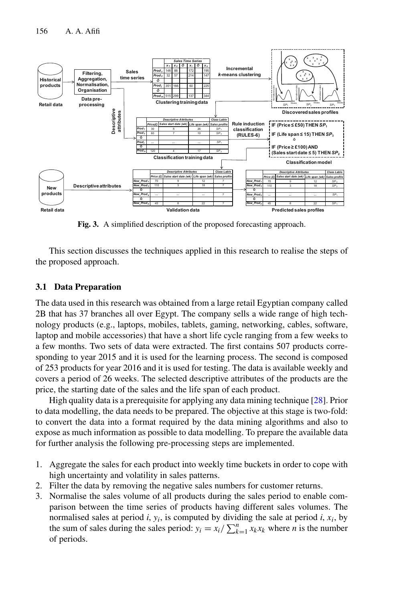

**Fig. 3.** A simplified description of the proposed forecasting approach.

<span id="page-5-0"></span>This section discusses the techniques applied in this research to realise the steps of the proposed approach.

#### **3.1 Data Preparation**

The data used in this research was obtained from a large retail Egyptian company called 2B that has 37 branches all over Egypt. The company sells a wide range of high technology products (e.g., laptops, mobiles, tablets, gaming, networking, cables, software, laptop and mobile accessories) that have a short life cycle ranging from a few weeks to a few months. Two sets of data were extracted. The first contains 507 products corresponding to year 2015 and it is used for the learning process. The second is composed of 253 products for year 2016 and it is used for testing. The data is available weekly and covers a period of 26 weeks. The selected descriptive attributes of the products are the price, the starting date of the sales and the life span of each product.

High quality data is a prerequisite for applying any data mining technique [\[28\]](#page-11-13). Prior to data modelling, the data needs to be prepared. The objective at this stage is two-fold: to convert the data into a format required by the data mining algorithms and also to expose as much information as possible to data modelling. To prepare the available data for further analysis the following pre-processing steps are implemented.

- 1. Aggregate the sales for each product into weekly time buckets in order to cope with high uncertainty and volatility in sales patterns.
- 2. Filter the data by removing the negative sales numbers for customer returns.
- 3. Normalise the sales volume of all products during the sales period to enable comparison between the time series of products having different sales volumes. The normalised sales at period  $i$ ,  $y_i$ , is computed by dividing the sale at period  $i$ ,  $x_i$ , by the sum of sales during the sales period:  $y_i = x_i / \sum_{k=1}^n x_k x_k$  where *n* is the number of periods.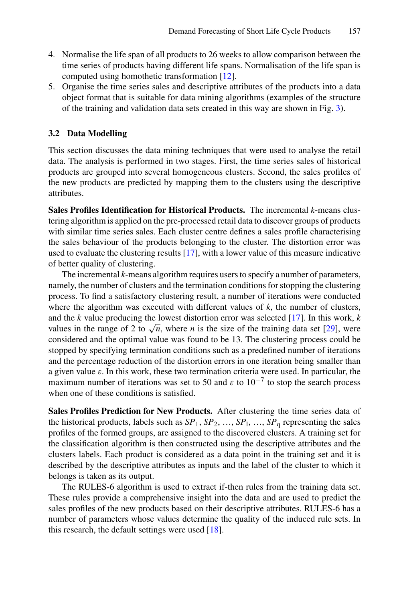- 4. Normalise the life span of all products to 26 weeks to allow comparison between the time series of products having different life spans. Normalisation of the life span is computed using homothetic transformation [\[12\]](#page-11-0).
- 5. Organise the time series sales and descriptive attributes of the products into a data object format that is suitable for data mining algorithms (examples of the structure of the training and validation data sets created in this way are shown in Fig. [3\)](#page-5-0).

#### **3.2 Data Modelling**

This section discusses the data mining techniques that were used to analyse the retail data. The analysis is performed in two stages. First, the time series sales of historical products are grouped into several homogeneous clusters. Second, the sales profiles of the new products are predicted by mapping them to the clusters using the descriptive attributes.

**Sales Profiles Identification for Historical Products.** The incremental *k*-means clustering algorithm is applied on the pre-processed retail data to discover groups of products with similar time series sales. Each cluster centre defines a sales profile characterising the sales behaviour of the products belonging to the cluster. The distortion error was used to evaluate the clustering results [\[17\]](#page-11-3), with a lower value of this measure indicative of better quality of clustering.

The incremental *k*-means algorithm requires users to specify a number of parameters, namely, the number of clusters and the termination conditions for stopping the clustering process. To find a satisfactory clustering result, a number of iterations were conducted where the algorithm was executed with different values of *k*, the number of clusters, and the *k* value producing the lowest distortion error was selected [\[17\]](#page-11-3). In this work, *k* values in the range of 2 to  $\sqrt{n}$ , where *n* is the size of the training data set [\[29\]](#page-11-14), were considered and the optimal value was found to be 13. The clustering process could be stopped by specifying termination conditions such as a predefined number of iterations and the percentage reduction of the distortion errors in one iteration being smaller than a given value  $\varepsilon$ . In this work, these two termination criteria were used. In particular, the maximum number of iterations was set to 50 and  $\varepsilon$  to 10<sup>-7</sup> to stop the search process when one of these conditions is satisfied.

**Sales Profiles Prediction for New Products.** After clustering the time series data of the historical products, labels such as  $SP_1$ ,  $SP_2$ , ...,  $SP_1$ , ...,  $SP_0$  representing the sales profiles of the formed groups, are assigned to the discovered clusters. A training set for the classification algorithm is then constructed using the descriptive attributes and the clusters labels. Each product is considered as a data point in the training set and it is described by the descriptive attributes as inputs and the label of the cluster to which it belongs is taken as its output.

The RULES-6 algorithm is used to extract if-then rules from the training data set. These rules provide a comprehensive insight into the data and are used to predict the sales profiles of the new products based on their descriptive attributes. RULES-6 has a number of parameters whose values determine the quality of the induced rule sets. In this research, the default settings were used  $[18]$ .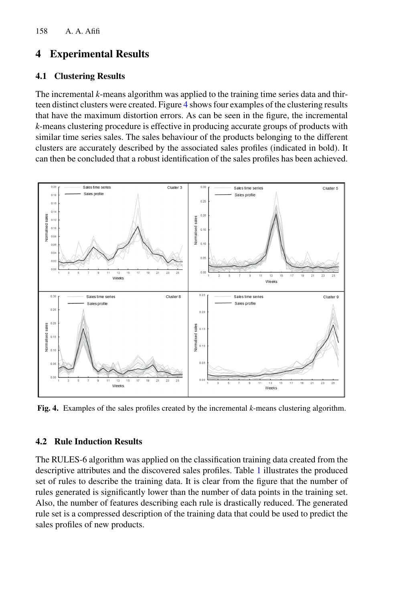### <span id="page-7-0"></span>**4 Experimental Results**

#### **4.1 Clustering Results**

The incremental *k*-means algorithm was applied to the training time series data and thirteen distinct clusters were created. Figure [4](#page-7-1) shows four examples of the clustering results that have the maximum distortion errors. As can be seen in the figure, the incremental *k*-means clustering procedure is effective in producing accurate groups of products with similar time series sales. The sales behaviour of the products belonging to the different clusters are accurately described by the associated sales profiles (indicated in bold). It can then be concluded that a robust identification of the sales profiles has been achieved.



<span id="page-7-1"></span>**Fig. 4.** Examples of the sales profiles created by the incremental *k*-means clustering algorithm.

#### **4.2 Rule Induction Results**

The RULES-6 algorithm was applied on the classification training data created from the descriptive attributes and the discovered sales profiles. Table [1](#page-8-0) illustrates the produced set of rules to describe the training data. It is clear from the figure that the number of rules generated is significantly lower than the number of data points in the training set. Also, the number of features describing each rule is drastically reduced. The generated rule set is a compressed description of the training data that could be used to predict the sales profiles of new products.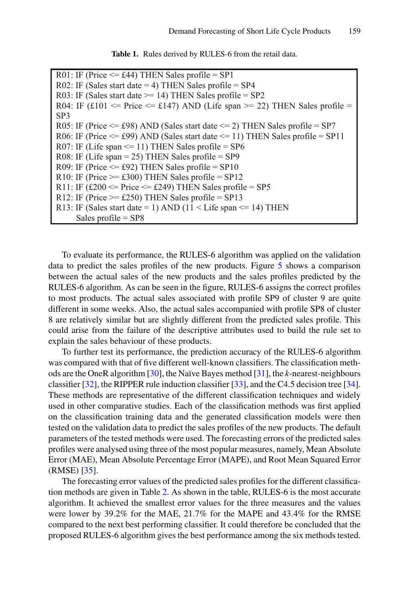**Table 1.** Rules derived by RULES-6 from the retail data.

<span id="page-8-0"></span> $R01$ : IF (Price  $\leq$   $\pm$  44) THEN Sales profile  $=$  SP1 R02: IF (Sales start date  $=$  4) THEN Sales profile  $=$  SP4 R03: IF (Sales start date  $\ge$  = 14) THEN Sales profile = SP2 R04: IF (£101  $\le$  Price  $\le$  £147) AND (Life span  $\ge$  22) THEN Sales profile = SP3 R05: IF (Price  $\leq$  £98) AND (Sales start date  $\leq$  2) THEN Sales profile = SP7 R06: IF (Price  $\leq$  = £99) AND (Sales start date  $\leq$  = 11) THEN Sales profile = SP11 R07: IF (Life span  $\leq$  11) THEN Sales profile = SP6 R08: IF (Life span  $= 25$ ) THEN Sales profile  $=$  SP9 R09: IF (Price  $\leq$  = £92) THEN Sales profile = SP10 R10: IF (Price  $>=$  £300) THEN Sales profile = SP12 R11: IF  $(f200 \leq P$ rice  $\leq f249$ ) THEN Sales profile = SP5 R12: IF (Price  $>=$  £250) THEN Sales profile = SP13 R13: IF (Sales start date = 1) AND ( $11 \le$  Life span  $\le$  14) THEN Sales profile = SP8

To evaluate its performance, the RULES-6 algorithm was applied on the validation data to predict the sales profiles of the new products. Figure [5](#page-9-1) shows a comparison between the actual sales of the new products and the sales profiles predicted by the RULES-6 algorithm. As can be seen in the figure, RULES-6 assigns the correct profiles to most products. The actual sales associated with profile SP9 of cluster 9 are quite different in some weeks. Also, the actual sales accompanied with profile SP8 of cluster 8 are relatively similar but are slightly different from the predicted sales profile. This could arise from the failure of the descriptive attributes used to build the rule set to explain the sales behaviour of these products.

To further test its performance, the prediction accuracy of the RULES-6 algorithm was compared with that of five different well-known classifiers. The classification methods are the OneR algorithm [\[30\]](#page-11-15), the Naïve Bayes method [\[31\]](#page-11-16), the *k*-nearest-neighbours classifier [\[32\]](#page-11-17), the RIPPER rule induction classifier [\[33\]](#page-11-18), and the C4.5 decision tree [\[34\]](#page-11-19). These methods are representative of the different classification techniques and widely used in other comparative studies. Each of the classification methods was first applied on the classification training data and the generated classification models were then tested on the validation data to predict the sales profiles of the new products. The default parameters of the tested methods were used. The forecasting errors of the predicted sales profiles were analysed using three of the most popular measures, namely, Mean Absolute Error (MAE), Mean Absolute Percentage Error (MAPE), and Root Mean Squared Error (RMSE) [\[35\]](#page-11-20).

The forecasting error values of the predicted sales profiles for the different classification methods are given in Table [2.](#page-9-2) As shown in the table, RULES-6 is the most accurate algorithm. It achieved the smallest error values for the three measures and the values were lower by 39.2% for the MAE, 21.7% for the MAPE and 43.4% for the RMSE compared to the next best performing classifier. It could therefore be concluded that the proposed RULES-6 algorithm gives the best performance among the six methods tested.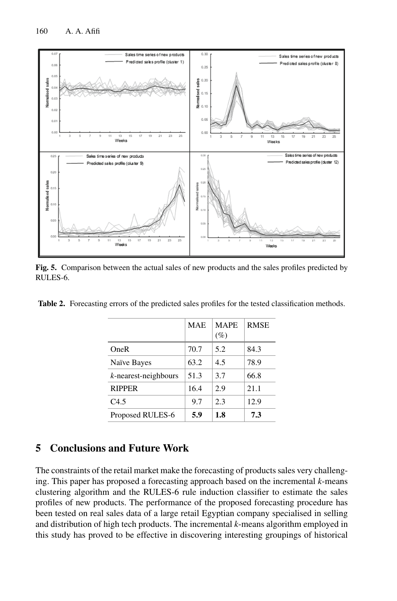

<span id="page-9-1"></span>**Fig. 5.** Comparison between the actual sales of new products and the sales profiles predicted by RULES-6.

<span id="page-9-2"></span>**Table 2.** Forecasting errors of the predicted sales profiles for the tested classification methods.

|                         | <b>MAE</b> | <b>MAPE</b><br>$(\%)$ | <b>RMSE</b> |
|-------------------------|------------|-----------------------|-------------|
| OneR                    | 70.7       | 5.2                   | 84.3        |
| Naïve Bayes             | 63.2       | 4.5                   | 78.9        |
| $k$ -nearest-neighbours | 51.3       | 3.7                   | 66.8        |
| <b>RIPPER</b>           | 16.4       | 2.9                   | 21.1        |
| C4.5                    | 9.7        | 2.3                   | 12.9        |
| Proposed RULES-6        | 5.9        | 1.8                   | 7.3         |

### <span id="page-9-0"></span>**5 Conclusions and Future Work**

The constraints of the retail market make the forecasting of products sales very challenging. This paper has proposed a forecasting approach based on the incremental *k*-means clustering algorithm and the RULES-6 rule induction classifier to estimate the sales profiles of new products. The performance of the proposed forecasting procedure has been tested on real sales data of a large retail Egyptian company specialised in selling and distribution of high tech products. The incremental *k*-means algorithm employed in this study has proved to be effective in discovering interesting groupings of historical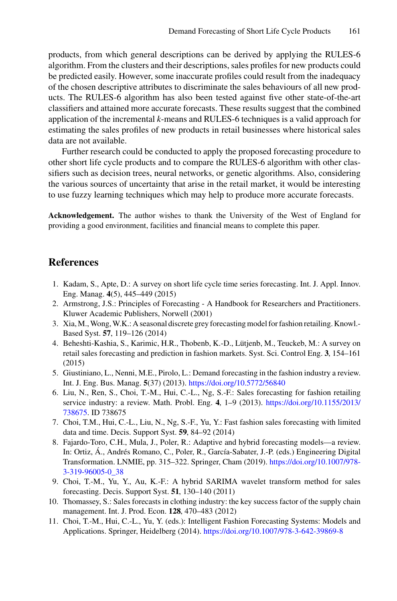products, from which general descriptions can be derived by applying the RULES-6 algorithm. From the clusters and their descriptions, sales profiles for new products could be predicted easily. However, some inaccurate profiles could result from the inadequacy of the chosen descriptive attributes to discriminate the sales behaviours of all new products. The RULES-6 algorithm has also been tested against five other state-of-the-art classifiers and attained more accurate forecasts. These results suggest that the combined application of the incremental *k*-means and RULES-6 techniques is a valid approach for estimating the sales profiles of new products in retail businesses where historical sales data are not available.

Further research could be conducted to apply the proposed forecasting procedure to other short life cycle products and to compare the RULES-6 algorithm with other classifiers such as decision trees, neural networks, or genetic algorithms. Also, considering the various sources of uncertainty that arise in the retail market, it would be interesting to use fuzzy learning techniques which may help to produce more accurate forecasts.

**Acknowledgement.** The author wishes to thank the University of the West of England for providing a good environment, facilities and financial means to complete this paper.

### **References**

- <span id="page-10-0"></span>1. Kadam, S., Apte, D.: A survey on short life cycle time series forecasting. Int. J. Appl. Innov. Eng. Manag. **4**(5), 445–449 (2015)
- <span id="page-10-1"></span>2. Armstrong, J.S.: Principles of Forecasting - A Handbook for Researchers and Practitioners. Kluwer Academic Publishers, Norwell (2001)
- <span id="page-10-2"></span>3. Xia,M.,Wong,W.K.: A seasonal discrete grey forecasting model for fashion retailing. Knowl.- Based Syst. **57**, 119–126 (2014)
- <span id="page-10-3"></span>4. Beheshti-Kashia, S., Karimic, H.R., Thobenb, K.-D., Lütjenb, M., Teuckeb, M.: A survey on retail sales forecasting and prediction in fashion markets. Syst. Sci. Control Eng. **3**, 154–161 (2015)
- <span id="page-10-4"></span>5. Giustiniano, L., Nenni, M.E., Pirolo, L.: Demand forecasting in the fashion industry a review. Int. J. Eng. Bus. Manag. **5**(37) (2013). <https://doi.org/10.5772/56840>
- <span id="page-10-5"></span>6. Liu, N., Ren, S., Choi, T.-M., Hui, C.-L., Ng, S.-F.: Sales forecasting for fashion retailing [service industry: a review. Math. Probl. Eng.](https://doi.org/10.1155/2013/738675) **4**, 1–9 (2013). https://doi.org/10.1155/2013/ 738675. ID 738675
- <span id="page-10-6"></span>7. Choi, T.M., Hui, C.-L., Liu, N., Ng, S.-F., Yu, Y.: Fast fashion sales forecasting with limited data and time. Decis. Support Syst. **59**, 84–92 (2014)
- <span id="page-10-7"></span>8. Fajardo-Toro, C.H., Mula, J., Poler, R.: Adaptive and hybrid forecasting models—a review. In: Ortiz, Á., Andrés Romano, C., Poler, R., García-Sabater, J.-P. (eds.) Engineering Digital [Transformation. LNMIE, pp. 315–322. Springer, Cham \(2019\).](https://doi.org/10.1007/978-3-319-96005-0_38) https://doi.org/10.1007/978- 3-319-96005-0\_38
- <span id="page-10-8"></span>9. Choi, T.-M., Yu, Y., Au, K.-F.: A hybrid SARIMA wavelet transform method for sales forecasting. Decis. Support Syst. **51**, 130–140 (2011)
- <span id="page-10-9"></span>10. Thomassey, S.: Sales forecasts in clothing industry: the key success factor of the supply chain management. Int. J. Prod. Econ. **128**, 470–483 (2012)
- <span id="page-10-10"></span>11. Choi, T.-M., Hui, C.-L., Yu, Y. (eds.): Intelligent Fashion Forecasting Systems: Models and Applications. Springer, Heidelberg (2014). <https://doi.org/10.1007/978-3-642-39869-8>